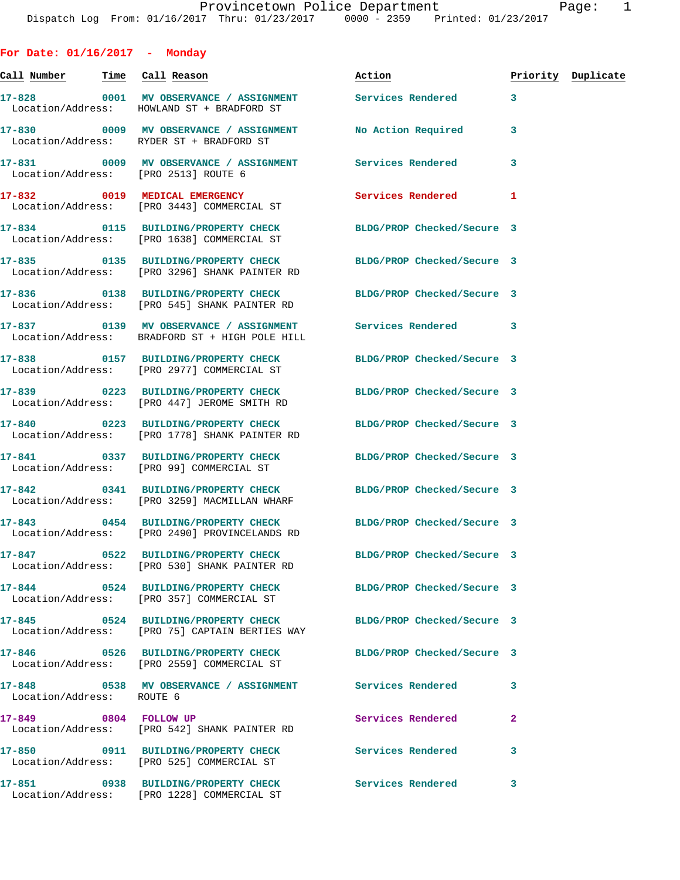**For Date: 01/16/2017 - Monday**

**Call Number Time Call Reason Action Priority Duplicate 17-828 0001 MV OBSERVANCE / ASSIGNMENT Services Rendered 3**  Location/Address: HOWLAND ST + BRADFORD ST **17-830 0009 MV OBSERVANCE / ASSIGNMENT No Action Required 3**  Location/Address: RYDER ST + BRADFORD ST **17-831 0009 MV OBSERVANCE / ASSIGNMENT Services Rendered 3**  Location/Address: [PRO 2513] ROUTE 6 **17-832 0019 MEDICAL EMERGENCY Services Rendered 1**  Location/Address: [PRO 3443] COMMERCIAL ST **17-834 0115 BUILDING/PROPERTY CHECK BLDG/PROP Checked/Secure 3**  Location/Address: [PRO 1638] COMMERCIAL ST **17-835 0135 BUILDING/PROPERTY CHECK BLDG/PROP Checked/Secure 3**  Location/Address: [PRO 3296] SHANK PAINTER RD **17-836 0138 BUILDING/PROPERTY CHECK BLDG/PROP Checked/Secure 3**  Location/Address: [PRO 545] SHANK PAINTER RD **17-837 0139 MV OBSERVANCE / ASSIGNMENT Services Rendered 3**  Location/Address: BRADFORD ST + HIGH POLE HILL **17-838 0157 BUILDING/PROPERTY CHECK BLDG/PROP Checked/Secure 3**  Location/Address: [PRO 2977] COMMERCIAL ST **17-839 0223 BUILDING/PROPERTY CHECK BLDG/PROP Checked/Secure 3**  Location/Address: [PRO 447] JEROME SMITH RD **17-840 0223 BUILDING/PROPERTY CHECK BLDG/PROP Checked/Secure 3**  Location/Address: [PRO 1778] SHANK PAINTER RD **17-841 0337 BUILDING/PROPERTY CHECK BLDG/PROP Checked/Secure 3**  Location/Address: [PRO 99] COMMERCIAL ST **17-842 0341 BUILDING/PROPERTY CHECK BLDG/PROP Checked/Secure 3**  Location/Address: [PRO 3259] MACMILLAN WHARF **17-843 0454 BUILDING/PROPERTY CHECK BLDG/PROP Checked/Secure 3**  Location/Address: [PRO 2490] PROVINCELANDS RD **17-847 0522 BUILDING/PROPERTY CHECK BLDG/PROP Checked/Secure 3**  Location/Address: [PRO 530] SHANK PAINTER RD **17-844 0524 BUILDING/PROPERTY CHECK BLDG/PROP Checked/Secure 3**  Location/Address: [PRO 357] COMMERCIAL ST **17-845 0524 BUILDING/PROPERTY CHECK BLDG/PROP Checked/Secure 3**  Location/Address: [PRO 75] CAPTAIN BERTIES WAY **17-846 0526 BUILDING/PROPERTY CHECK BLDG/PROP Checked/Secure 3**  Location/Address: [PRO 2559] COMMERCIAL ST **17-848 0538 MV OBSERVANCE / ASSIGNMENT Services Rendered 3**  Location/Address: ROUTE 6 **17-849 0804 FOLLOW UP Services Rendered 2**  Location/Address: [PRO 542] SHANK PAINTER RD **17-850 0911 BUILDING/PROPERTY CHECK Services Rendered 3**  [PRO 525] COMMERCIAL ST **17-851 0938 BUILDING/PROPERTY CHECK Services Rendered 3**  Location/Address: [PRO 1228] COMMERCIAL ST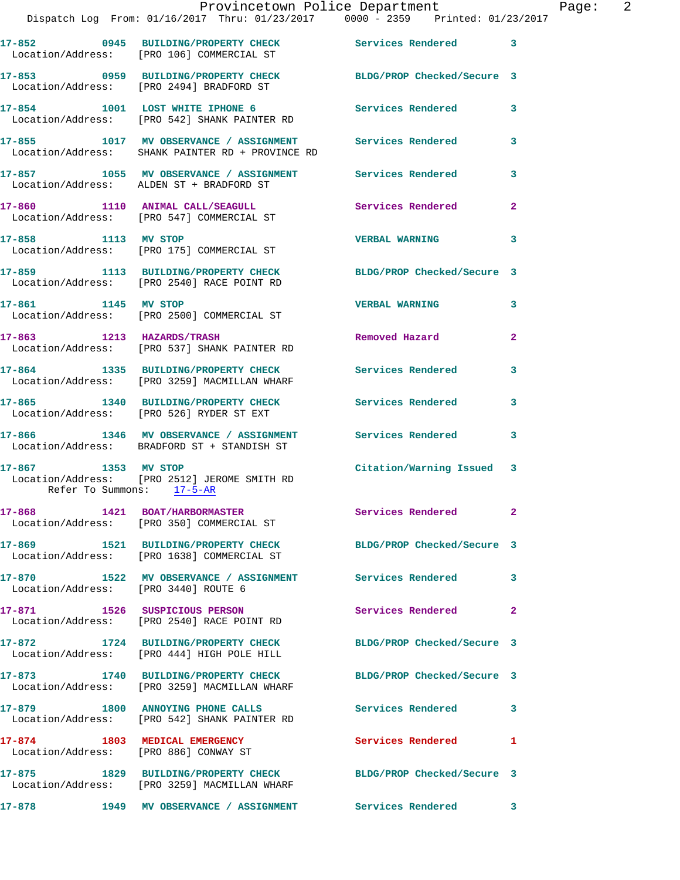|                     | Provincetown Police Department<br>Dispatch Log From: 01/16/2017 Thru: 01/23/2017 0000 - 2359 Printed: 01/23/2017 |                            |              |
|---------------------|------------------------------------------------------------------------------------------------------------------|----------------------------|--------------|
|                     | 17-852 0945 BUILDING/PROPERTY CHECK Services Rendered<br>Location/Address: [PRO 106] COMMERCIAL ST               |                            | 3            |
|                     | 17-853 0959 BUILDING/PROPERTY CHECK BLDG/PROP Checked/Secure 3<br>Location/Address: [PRO 2494] BRADFORD ST       |                            |              |
|                     | 17-854 1001 LOST WHITE IPHONE 6<br>Location/Address: [PRO 542] SHANK PAINTER RD                                  | <b>Services Rendered</b>   | 3            |
|                     | 17-855 1017 MV OBSERVANCE / ASSIGNMENT Services Rendered<br>Location/Address: SHANK PAINTER RD + PROVINCE RD     |                            | 3            |
|                     | 17-857 1055 MV OBSERVANCE / ASSIGNMENT Services Rendered<br>Location/Address: ALDEN ST + BRADFORD ST             |                            | 3            |
|                     | 17-860 1110 ANIMAL CALL/SEAGULL<br>Location/Address: [PRO 547] COMMERCIAL ST                                     | <b>Services Rendered</b>   | $\mathbf{2}$ |
| 17-858 1113 MV STOP | Location/Address: [PRO 175] COMMERCIAL ST                                                                        | <b>VERBAL WARNING</b>      | 3            |
|                     | 17-859 1113 BUILDING/PROPERTY CHECK BLDG/PROP Checked/Secure 3<br>Location/Address: [PRO 2540] RACE POINT RD     |                            |              |
| 17-861 1145 MV STOP | Location/Address: [PRO 2500] COMMERCIAL ST                                                                       | <b>VERBAL WARNING</b>      | 3            |
|                     | 17-863 1213 HAZARDS/TRASH<br>Location/Address: [PRO 537] SHANK PAINTER RD                                        | Removed Hazard             | $\mathbf{2}$ |
|                     | 17-864 1335 BUILDING/PROPERTY CHECK Services Rendered<br>Location/Address: [PRO 3259] MACMILLAN WHARF            |                            | 3            |
|                     | 17-865 1340 BUILDING/PROPERTY CHECK<br>Location/Address: [PRO 526] RYDER ST EXT                                  | <b>Services Rendered</b>   | 3            |
|                     | 17-866 1346 MV OBSERVANCE / ASSIGNMENT Services Rendered<br>Location/Address: BRADFORD ST + STANDISH ST          |                            | 3            |
| 17-867 1353 MV STOP | Location/Address: [PRO 2512] JEROME SMITH RD<br>Refer To Summons: 17-5-AR                                        | Citation/Warning Issued    | 3            |
|                     | 17-868 1421 BOAT/HARBORMASTER<br>Location/Address: [PRO 350] COMMERCIAL ST                                       | Services Rendered          | $\mathbf{2}$ |
|                     | 17-869 1521 BUILDING/PROPERTY CHECK BLDG/PROP Checked/Secure 3<br>Location/Address: [PRO 1638] COMMERCIAL ST     |                            |              |
|                     | 17-870 1522 MV OBSERVANCE / ASSIGNMENT Services Rendered<br>Location/Address: [PRO 3440] ROUTE 6                 |                            | 3            |
|                     | 17-871 1526 SUSPICIOUS PERSON<br>Location/Address: [PRO 2540] RACE POINT RD                                      | Services Rendered          | $\mathbf{2}$ |
| 17-872              | 1724 BUILDING/PROPERTY CHECK<br>Location/Address: [PRO 444] HIGH POLE HILL                                       | BLDG/PROP Checked/Secure 3 |              |
|                     | 17-873 1740 BUILDING/PROPERTY CHECK<br>Location/Address: [PRO 3259] MACMILLAN WHARF                              | BLDG/PROP Checked/Secure 3 |              |
|                     | 17-879 1800 ANNOYING PHONE CALLS<br>Location/Address: [PRO 542] SHANK PAINTER RD                                 | Services Rendered          | 3            |
|                     | 17-874 1803 MEDICAL EMERGENCY<br>Location/Address: [PRO 886] CONWAY ST                                           | Services Rendered          | 1            |
|                     | 17-875 1829 BUILDING/PROPERTY CHECK<br>Location/Address: [PRO 3259] MACMILLAN WHARF                              | BLDG/PROP Checked/Secure 3 |              |
| 17-878              | 1949 MV OBSERVANCE / ASSIGNMENT Services Rendered                                                                |                            | 3            |

Page:  $2$ <br>017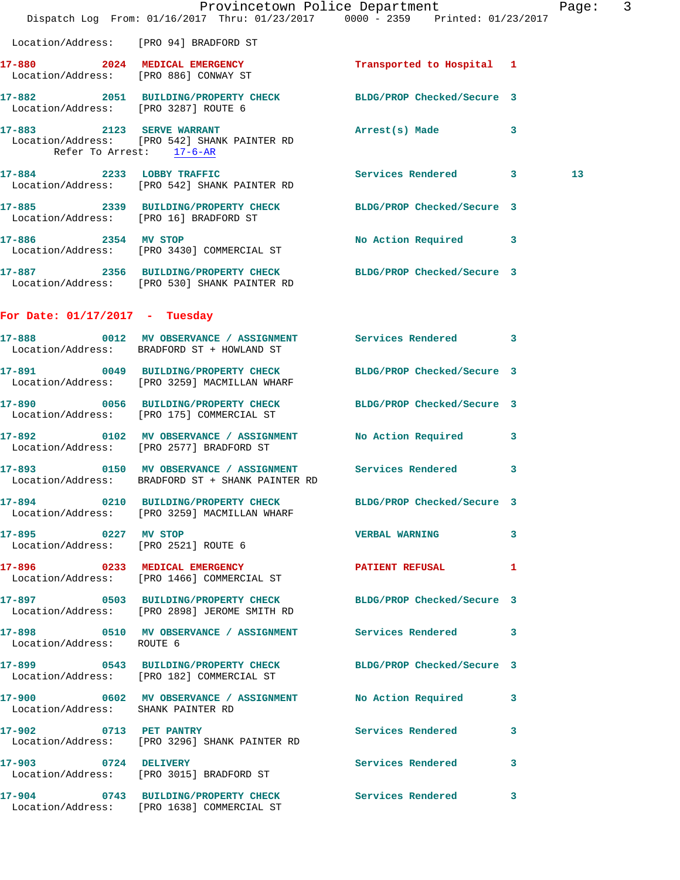|                                      | Dispatch Log From: 01/16/2017 Thru: 01/23/2017 0000 - 2359 Printed: 01/23/2017                                 | Provincetown Police Department | Page: 3 |  |
|--------------------------------------|----------------------------------------------------------------------------------------------------------------|--------------------------------|---------|--|
|                                      | Location/Address: [PRO 94] BRADFORD ST                                                                         |                                |         |  |
|                                      | 17-880 2024 MEDICAL EMERGENCY<br>Location/Address: [PRO 886] CONWAY ST                                         | Transported to Hospital 1      |         |  |
| Location/Address: [PRO 3287] ROUTE 6 | 17-882 2051 BUILDING/PROPERTY CHECK BLDG/PROP Checked/Secure 3                                                 |                                |         |  |
| Refer To Arrest: 17-6-AR             | 17-883 2123 SERVE WARRANT<br>Location/Address: [PRO 542] SHANK PAINTER RD                                      | Arrest(s) Made 3               |         |  |
|                                      | 17-884 2233 LOBBY TRAFFIC<br>Location/Address: [PRO 542] SHANK PAINTER RD                                      | Services Rendered 3            | 13      |  |
|                                      | 17-885 2339 BUILDING/PROPERTY CHECK BLDG/PROP Checked/Secure 3<br>Location/Address: [PRO 16] BRADFORD ST       |                                |         |  |
|                                      | 17-886 2354 MV STOP<br>Location/Address: [PRO 3430] COMMERCIAL ST                                              | No Action Required 3           |         |  |
|                                      | 17-887 2356 BUILDING/PROPERTY CHECK BLDG/PROP Checked/Secure 3<br>Location/Address: [PRO 530] SHANK PAINTER RD |                                |         |  |
| For Date: $01/17/2017$ - Tuesday     |                                                                                                                |                                |         |  |
|                                      | 17-888 0012 MV OBSERVANCE / ASSIGNMENT Services Rendered 3<br>Location/Address: BRADFORD ST + HOWLAND ST       |                                |         |  |
|                                      | 17-891 0049 BUILDING/PROPERTY CHECK<br>Location/Address: [PRO 3259] MACMILLAN WHARF                            | BLDG/PROP Checked/Secure 3     |         |  |
|                                      | 17-890 0056 BUILDING/PROPERTY CHECK BLDG/PROP Checked/Secure 3<br>Location/Address: [PRO 175] COMMERCIAL ST    |                                |         |  |
|                                      | 17-892 0102 MV OBSERVANCE / ASSIGNMENT<br>Location/Address: [PRO 2577] BRADFORD ST                             | No Action Required             | 3       |  |
|                                      | 17-893 0150 MV OBSERVANCE / ASSIGNMENT Services Rendered 3<br>Location/Address: BRADFORD ST + SHANK PAINTER RD |                                |         |  |
|                                      | 17-894 0210 BUILDING/PROPERTY CHECK BLDG/PROP Checked/Secure 3<br>Location/Address: [PRO 3259] MACMILLAN WHARF |                                |         |  |
| 17-895 0227 MV STOP                  | Location/Address: [PRO 2521] ROUTE 6                                                                           | <b>VERBAL WARNING</b>          | 3       |  |
|                                      | 17-896 0233 MEDICAL EMERGENCY<br>Location/Address: [PRO 1466] COMMERCIAL ST                                    | <b>PATIENT REFUSAL</b>         | 1       |  |
|                                      | 17-897 0503 BUILDING/PROPERTY CHECK BLDG/PROP Checked/Secure 3<br>Location/Address: [PRO 2898] JEROME SMITH RD |                                |         |  |
| Location/Address: ROUTE 6            | 17-898 0510 MV OBSERVANCE / ASSIGNMENT Services Rendered 3                                                     |                                |         |  |
|                                      | 17-899 0543 BUILDING/PROPERTY CHECK BLDG/PROP Checked/Secure 3<br>Location/Address: [PRO 182] COMMERCIAL ST    |                                |         |  |
| Location/Address: SHANK PAINTER RD   | 17-900 0602 MV OBSERVANCE / ASSIGNMENT No Action Required 3                                                    |                                |         |  |
| 17-902 0713 PET PANTRY               | Location/Address: [PRO 3296] SHANK PAINTER RD                                                                  | Services Rendered 3            |         |  |
|                                      | 17-903 0724 DELIVERY<br>Location/Address: [PRO 3015] BRADFORD ST                                               | Services Rendered              | 3       |  |
|                                      | 17-904 0743 BUILDING/PROPERTY CHECK Services Rendered 3<br>Location/Address: [PRO 1638] COMMERCIAL ST          |                                |         |  |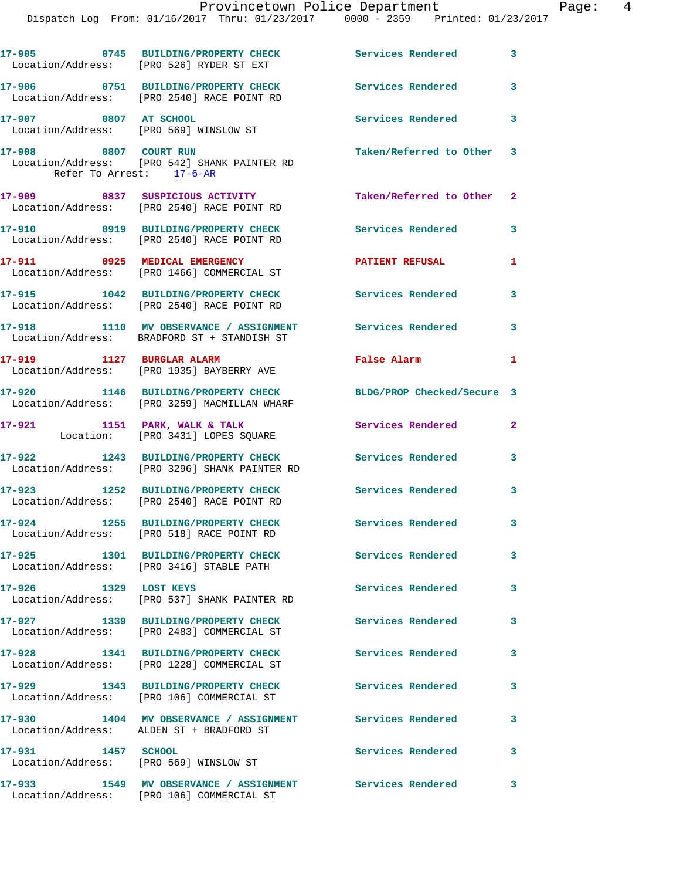|                           | Dispatch Log From: 01/16/2017 Thru: 01/23/2017 0000 - 2359 Printed: 01/23/2017                        |                            |                |
|---------------------------|-------------------------------------------------------------------------------------------------------|----------------------------|----------------|
|                           | 17-905 0745 BUILDING/PROPERTY CHECK<br>Location/Address: [PRO 526] RYDER ST EXT                       | Services Rendered          | 3              |
|                           | 17-906 0751 BUILDING/PROPERTY CHECK<br>Location/Address: [PRO 2540] RACE POINT RD                     | <b>Services Rendered</b>   | 3              |
| 17-907 0807 AT SCHOOL     | Location/Address: [PRO 569] WINSLOW ST                                                                | Services Rendered          | 3              |
| Refer To Arrest: 17-6-AR  | 17-908 0807 COURT RUN<br>Location/Address: [PRO 542] SHANK PAINTER RD                                 | Taken/Referred to Other    | 3              |
|                           | 17-909 0837 SUSPICIOUS ACTIVITY<br>Location/Address: [PRO 2540] RACE POINT RD                         | Taken/Referred to Other    | $\overline{2}$ |
|                           | 17-910 0919 BUILDING/PROPERTY CHECK<br>Location/Address: [PRO 2540] RACE POINT RD                     | Services Rendered          | 3              |
|                           | 17-911 0925 MEDICAL EMERGENCY<br>Location/Address: [PRO 1466] COMMERCIAL ST                           | <b>PATIENT REFUSAL</b>     | 1              |
|                           | 17-915 1042 BUILDING/PROPERTY CHECK<br>Location/Address: [PRO 2540] RACE POINT RD                     | <b>Services Rendered</b>   | 3              |
|                           | 17-918 1110 MV OBSERVANCE / ASSIGNMENT<br>Location/Address: BRADFORD ST + STANDISH ST                 | <b>Services Rendered</b>   | 3              |
| 17-919 1127 BURGLAR ALARM | Location/Address: [PRO 1935] BAYBERRY AVE                                                             | False Alarm                | 1              |
|                           | 17-920 1146 BUILDING/PROPERTY CHECK<br>Location/Address: [PRO 3259] MACMILLAN WHARF                   | BLDG/PROP Checked/Secure 3 |                |
|                           | 17-921 1151 PARK, WALK & TALK<br>Location: [PRO 3431] LOPES SQUARE                                    | Services Rendered          | $\mathbf{2}$   |
|                           | 17-922 1243 BUILDING/PROPERTY CHECK<br>Location/Address: [PRO 3296] SHANK PAINTER RD                  | Services Rendered          | 3              |
|                           | 17-923 1252 BUILDING/PROPERTY CHECK<br>Location/Address: [PRO 2540] RACE POINT RD                     | Services Rendered          | 3              |
| 17-924                    | 1255 BUILDING/PROPERTY CHECK<br>Location/Address: [PRO 518] RACE POINT RD                             | Services Rendered          | 3              |
|                           | 17-925 1301 BUILDING/PROPERTY CHECK<br>Location/Address: [PRO 3416] STABLE PATH                       | Services Rendered          | 3              |
| 17-926 1329 LOST KEYS     | Location/Address: [PRO 537] SHANK PAINTER RD                                                          | Services Rendered          | 3              |
|                           | 17-927 1339 BUILDING/PROPERTY CHECK<br>Location/Address: [PRO 2483] COMMERCIAL ST                     | Services Rendered          | 3              |
|                           | 17-928 1341 BUILDING/PROPERTY CHECK<br>Location/Address: [PRO 1228] COMMERCIAL ST                     | Services Rendered          | 3              |
|                           | 17-929 1343 BUILDING/PROPERTY CHECK<br>Location/Address: [PRO 106] COMMERCIAL ST                      | Services Rendered          | 3              |
|                           | 17-930 1404 MV OBSERVANCE / ASSIGNMENT<br>Location/Address: ALDEN ST + BRADFORD ST                    | <b>Services Rendered</b>   | 3              |
| 1457 SCHOOL<br>17-931     | Location/Address: [PRO 569] WINSLOW ST                                                                | Services Rendered          | 3              |
|                           | 17-933 1549 MV OBSERVANCE / ASSIGNMENT Services Rendered<br>Location/Address: [PRO 106] COMMERCIAL ST |                            | з              |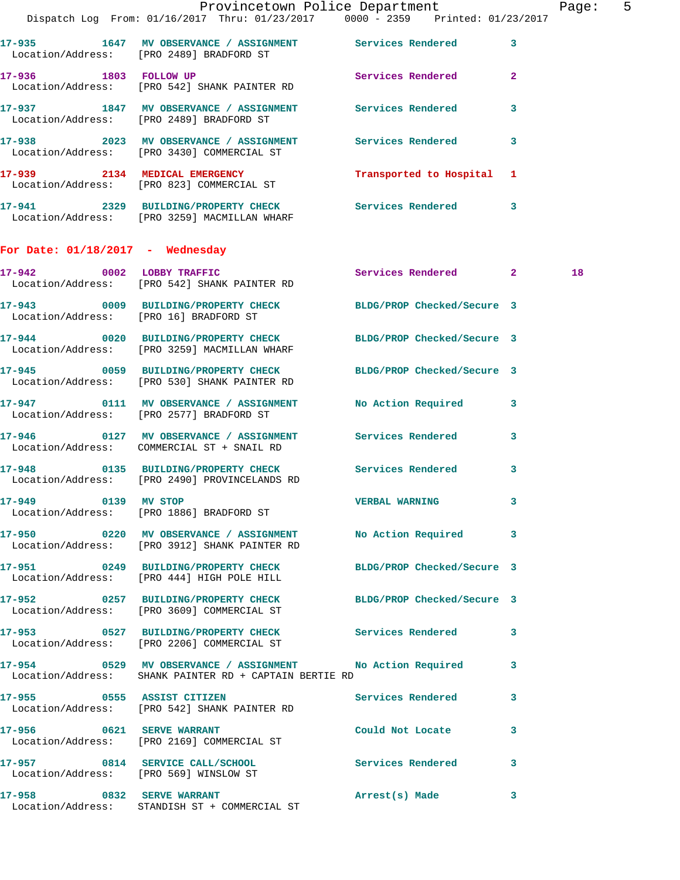|                                    | Provincetown Police Department Page: 5<br>Dispatch Log From: 01/16/2017 Thru: 01/23/2017 0000 - 2359 Printed: 01/23/2017 |                           |              |    |  |
|------------------------------------|--------------------------------------------------------------------------------------------------------------------------|---------------------------|--------------|----|--|
|                                    | 17-935 1647 MV OBSERVANCE / ASSIGNMENT Services Rendered 3<br>Location/Address: [PRO 2489] BRADFORD ST                   |                           |              |    |  |
| 17-936 1803 FOLLOW UP              | Location/Address: [PRO 542] SHANK PAINTER RD                                                                             | Services Rendered         | $\mathbf{2}$ |    |  |
|                                    | 17-937 1847 MV OBSERVANCE / ASSIGNMENT Services Rendered<br>Location/Address: [PRO 2489] BRADFORD ST                     |                           | $\mathbf{3}$ |    |  |
|                                    | 17-938 2023 MV OBSERVANCE / ASSIGNMENT Services Rendered 3<br>Location/Address: [PRO 3430] COMMERCIAL ST                 |                           |              |    |  |
|                                    | 17-939 2134 MEDICAL EMERGENCY<br>Location/Address: [PRO 823] COMMERCIAL ST                                               | Transported to Hospital 1 |              |    |  |
|                                    | 17-941 2329 BUILDING/PROPERTY CHECK Services Rendered 3<br>Location/Address: [PRO 3259] MACMILLAN WHARF                  |                           |              |    |  |
| For Date: $01/18/2017$ - Wednesday |                                                                                                                          |                           |              |    |  |
|                                    | 17-942 0002 LOBBY TRAFFIC<br>Location/Address: [PRO 542] SHANK PAINTER RD                                                | Services Rendered 2       |              | 18 |  |
|                                    | 17-943 0009 BUILDING/PROPERTY CHECK BLDG/PROP Checked/Secure 3<br>Location/Address: [PRO 16] BRADFORD ST                 |                           |              |    |  |
|                                    | 17-944 0020 BUILDING/PROPERTY CHECK BLDG/PROP Checked/Secure 3<br>Location/Address: [PRO 3259] MACMILLAN WHARF           |                           |              |    |  |
|                                    | 17-945 0059 BUILDING/PROPERTY CHECK BLDG/PROP Checked/Secure 3<br>Location/Address: [PRO 530] SHANK PAINTER RD           |                           |              |    |  |
|                                    | 17-947 0111 MV OBSERVANCE / ASSIGNMENT No Action Required 3<br>Location/Address: [PRO 2577] BRADFORD ST                  |                           |              |    |  |
|                                    | 17-946 0127 MV OBSERVANCE / ASSIGNMENT Services Rendered 3<br>Location/Address: COMMERCIAL ST + SNAIL RD                 |                           |              |    |  |
|                                    | 17-948 0135 BUILDING/PROPERTY CHECK Services Rendered<br>Location/Address: [PRO 2490] PROVINCELANDS RD                   |                           | 3            |    |  |
|                                    | 17-949 0139 MV STOP<br>Location/Address: [PRO 1886] BRADFORD ST                                                          | VERBAL WARNING 3          |              |    |  |
|                                    | 17-950 		 0220 MV OBSERVANCE / ASSIGNMENT No Action Required 3<br>Location/Address: [PRO 3912] SHANK PAINTER RD          |                           |              |    |  |
|                                    | 17-951 0249 BUILDING/PROPERTY CHECK BLDG/PROP Checked/Secure 3<br>Location/Address: [PRO 444] HIGH POLE HILL             |                           |              |    |  |
|                                    | 17-952 0257 BUILDING/PROPERTY CHECK BLDG/PROP Checked/Secure 3<br>Location/Address: [PRO 3609] COMMERCIAL ST             |                           |              |    |  |
|                                    | 17-953 		 0527 BUILDING/PROPERTY CHECK Services Rendered 3<br>Location/Address: [PRO 2206] COMMERCIAL ST                 |                           |              |    |  |
|                                    | 17-954 0529 MV OBSERVANCE / ASSIGNMENT No Action Required 3<br>Location/Address: SHANK PAINTER RD + CAPTAIN BERTIE RD    |                           |              |    |  |
|                                    | 17-955 		 0555 ASSIST CITIZEN 		 Services Rendered 3<br>Location/Address: [PRO 542] SHANK PAINTER RD                     |                           |              |    |  |
|                                    | 17-956 0621 SERVE WARRANT<br>Location/Address: [PRO 2169] COMMERCIAL ST                                                  | Could Not Locate          | 3            |    |  |
|                                    | 17-957 0814 SERVICE CALL/SCHOOL 5ervices Rendered 3<br>Location/Address: [PRO 569] WINSLOW ST                            |                           |              |    |  |
|                                    | 17-958 0832 SERVE WARRANT<br>  Location/Address:   STANDISH ST + COMMERCIAL ST                                           | Arrest(s) Made            | 3            |    |  |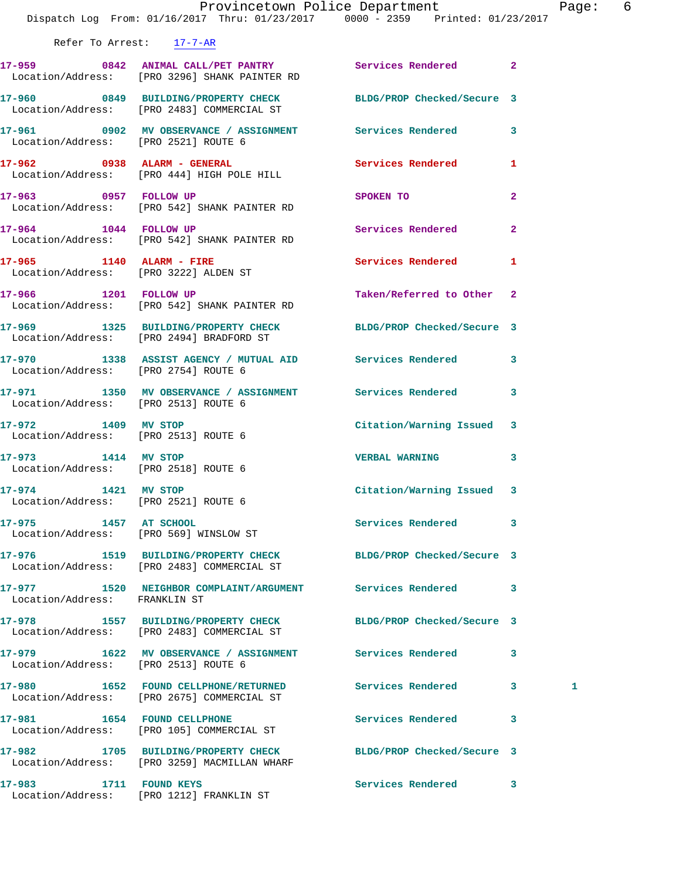|                                                             | Dispatch Log From: 01/16/2017 Thru: 01/23/2017 0000 - 2359 Printed: 01/23/2017                                        | Provincetown Police Department |                         | Page: 6 |  |
|-------------------------------------------------------------|-----------------------------------------------------------------------------------------------------------------------|--------------------------------|-------------------------|---------|--|
| Refer To Arrest: 17-7-AR                                    |                                                                                                                       |                                |                         |         |  |
|                                                             | 17-959 0842 ANIMAL CALL/PET PANTRY Services Rendered 2<br>Location/Address: [PRO 3296] SHANK PAINTER RD               |                                |                         |         |  |
|                                                             | 17-960 0849 BUILDING/PROPERTY CHECK BLDG/PROP Checked/Secure 3<br>Location/Address: [PRO 2483] COMMERCIAL ST          |                                |                         |         |  |
|                                                             | 17-961      0902   MV OBSERVANCE / ASSIGNMENT      Services Rendered      3<br>Location/Address:   [PRO 2521] ROUTE 6 |                                |                         |         |  |
|                                                             |                                                                                                                       |                                |                         |         |  |
|                                                             | 17-963 0957 FOLLOW UP<br>Location/Address: [PRO 542] SHANK PAINTER RD                                                 | SPOKEN TO                      | $\overline{\mathbf{2}}$ |         |  |
|                                                             | 17-964 1044 FOLLOW UP<br>Location/Address: [PRO 542] SHANK PAINTER RD                                                 | Services Rendered              | $\overline{2}$          |         |  |
|                                                             | 17-965 1140 ALARM - FIRE<br>Location/Address: [PRO 3222] ALDEN ST                                                     | Services Rendered 1            |                         |         |  |
|                                                             | 17-966 1201 FOLLOW UP<br>Location/Address: [PRO 542] SHANK PAINTER RD                                                 | Taken/Referred to Other 2      |                         |         |  |
|                                                             | 17-969 1325 BUILDING/PROPERTY CHECK BLDG/PROP Checked/Secure 3<br>Location/Address: [PRO 2494] BRADFORD ST            |                                |                         |         |  |
| Location/Address: [PRO 2754] ROUTE 6                        | 17-970 1338 ASSIST AGENCY / MUTUAL AID Services Rendered                                                              |                                | 3                       |         |  |
| Location/Address: [PRO 2513] ROUTE 6                        | 17-971 1350 MV OBSERVANCE / ASSIGNMENT Services Rendered 3                                                            |                                |                         |         |  |
| Location/Address: [PRO 2513] ROUTE 6                        | 17-972 1409 MV STOP                                                                                                   | Citation/Warning Issued 3      |                         |         |  |
| 17-973 1414 MV STOP<br>Location/Address: [PRO 2518] ROUTE 6 |                                                                                                                       | <b>VERBAL WARNING</b>          | 3                       |         |  |
| 17-974 1421 MV STOP<br>Location/Address: [PRO 2521] ROUTE 6 |                                                                                                                       | Citation/Warning Issued 3      |                         |         |  |
| 17-975 1457 AT SCHOOL                                       | Location/Address: [PRO 569] WINSLOW ST                                                                                | Services Rendered              | 3                       |         |  |
|                                                             | 17-976 1519 BUILDING/PROPERTY CHECK BLDG/PROP Checked/Secure 3<br>Location/Address: [PRO 2483] COMMERCIAL ST          |                                |                         |         |  |
| Location/Address: FRANKLIN ST                               | 17-977 1520 NEIGHBOR COMPLAINT/ARGUMENT Services Rendered                                                             |                                | 3                       |         |  |
|                                                             | 17-978 1557 BUILDING/PROPERTY CHECK<br>Location/Address: [PRO 2483] COMMERCIAL ST                                     | BLDG/PROP Checked/Secure 3     |                         |         |  |
| Location/Address: [PRO 2513] ROUTE 6                        | 17-979 1622 MV OBSERVANCE / ASSIGNMENT Services Rendered                                                              |                                | 3                       |         |  |
|                                                             | 17-980 1652 FOUND CELLPHONE/RETURNED<br>Location/Address: [PRO 2675] COMMERCIAL ST                                    | Services Rendered              | 3                       | 1       |  |
| 17-981 1654 FOUND CELLPHONE                                 | Location/Address: [PRO 105] COMMERCIAL ST                                                                             | Services Rendered              | 3                       |         |  |
|                                                             | 17-982 1705 BUILDING/PROPERTY CHECK<br>Location/Address: [PRO 3259] MACMILLAN WHARF                                   | BLDG/PROP Checked/Secure 3     |                         |         |  |
| 17-983<br>1711 FOUND KEYS                                   |                                                                                                                       | Services Rendered 3            |                         |         |  |

Location/Address: [PRO 1212] FRANKLIN ST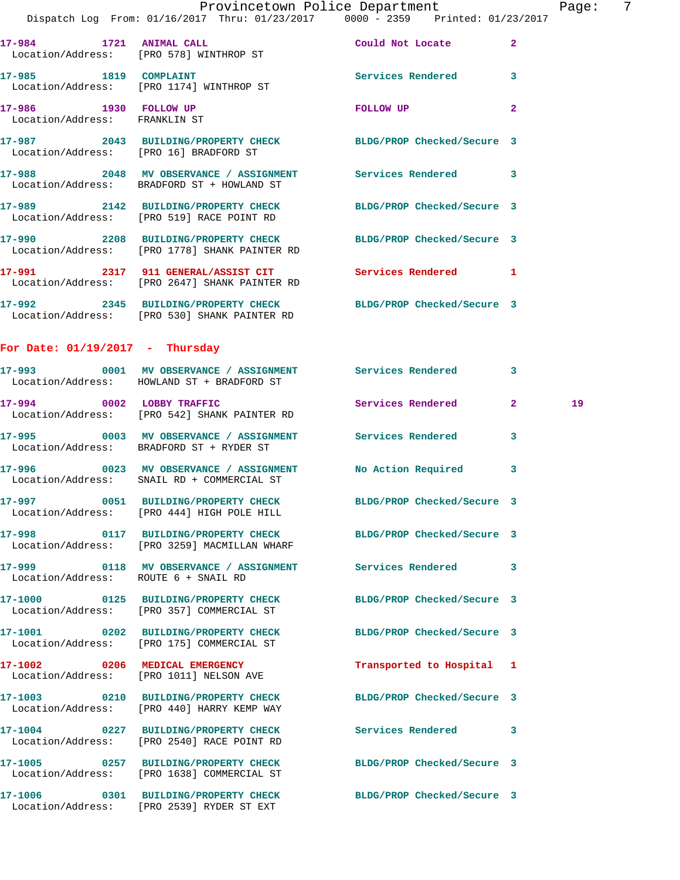|                                                        | Provincetown Police Department<br>Dispatch Log From: 01/16/2017 Thru: 01/23/2017   0000 - 2359   Printed: 01/23/2017 |                            |                | Page |
|--------------------------------------------------------|----------------------------------------------------------------------------------------------------------------------|----------------------------|----------------|------|
|                                                        |                                                                                                                      |                            |                |      |
|                                                        | 17-984 1721 ANIMAL CALL COULD Could Not Locate<br>Location/Address: [PRO 578] WINTHROP ST                            |                            | $\overline{2}$ |      |
|                                                        | 17-985 1819 COMPLAINT<br>Location/Address: [PRO 1174] WINTHROP ST                                                    | Services Rendered 3        |                |      |
| 17-986 1930 FOLLOW UP<br>Location/Address: FRANKLIN ST |                                                                                                                      | <b>EQLLOW UP</b>           | $\overline{a}$ |      |
|                                                        | 17-987 2043 BUILDING/PROPERTY CHECK BLDG/PROP Checked/Secure 3<br>Location/Address: [PRO 16] BRADFORD ST             |                            |                |      |
|                                                        | 17-988 2048 MV OBSERVANCE / ASSIGNMENT Services Rendered 3<br>Location/Address: BRADFORD ST + HOWLAND ST             |                            |                |      |
|                                                        | 17-989 2142 BUILDING/PROPERTY CHECK BLDG/PROP Checked/Secure 3<br>Location/Address: [PRO 519] RACE POINT RD          |                            |                |      |
|                                                        | 17-990 2208 BUILDING/PROPERTY CHECK BLDG/PROP Checked/Secure 3<br>Location/Address: [PRO 1778] SHANK PAINTER RD      |                            |                |      |
|                                                        | 17-991 2317 911 GENERAL/ASSIST CIT Services Rendered 1<br>Location/Address: [PRO 2647] SHANK PAINTER RD              |                            |                |      |
|                                                        | 17-992 2345 BUILDING/PROPERTY CHECK BLDG/PROP Checked/Secure 3<br>Location/Address: [PRO 530] SHANK PAINTER RD       |                            |                |      |
| For Date: $01/19/2017$ - Thursday                      |                                                                                                                      |                            |                |      |
|                                                        | 17-993 0001 MV OBSERVANCE / ASSIGNMENT Services Rendered 3<br>Location/Address: HOWLAND ST + BRADFORD ST             |                            |                |      |
|                                                        | 17-994 0002 LOBBY TRAFFIC Services Rendered<br>Location/Address: [PRO 542] SHANK PAINTER RD                          |                            | $\overline{2}$ | 19   |
|                                                        | 17-995 0003 MV OBSERVANCE / ASSIGNMENT Services Rendered 3<br>Location/Address: BRADFORD ST + RYDER ST               |                            |                |      |
|                                                        | 17-996 0023 MV OBSERVANCE / ASSIGNMENT No Action Required<br>Location/Address: SNAIL RD + COMMERCIAL ST              |                            | 3              |      |
|                                                        | 17-997 0051 BUILDING/PROPERTY CHECK<br>Location/Address: [PRO 444] HIGH POLE HILL                                    | BLDG/PROP Checked/Secure 3 |                |      |
|                                                        | 17-998 0117 BUILDING/PROPERTY CHECK BLDG/PROP Checked/Secure 3<br>Location/Address: [PRO 3259] MACMILLAN WHARF       |                            |                |      |
| Location/Address: ROUTE 6 + SNAIL RD                   | 17-999 0118 MV OBSERVANCE / ASSIGNMENT Services Rendered                                                             |                            | 3              |      |
|                                                        | 17-1000 0125 BUILDING/PROPERTY CHECK BLDG/PROP Checked/Secure 3<br>Location/Address: [PRO 357] COMMERCIAL ST         |                            |                |      |
|                                                        | 17-1001 0202 BUILDING/PROPERTY CHECK<br>Location/Address: [PRO 175] COMMERCIAL ST                                    | BLDG/PROP Checked/Secure 3 |                |      |
|                                                        | 17-1002 0206 MEDICAL EMERGENCY<br>Location/Address: [PRO 1011] NELSON AVE                                            | Transported to Hospital 1  |                |      |
|                                                        | 17-1003 0210 BUILDING/PROPERTY CHECK<br>Location/Address: [PRO 440] HARRY KEMP WAY                                   | BLDG/PROP Checked/Secure 3 |                |      |
|                                                        | 17-1004 0227 BUILDING/PROPERTY CHECK<br>Location/Address: [PRO 2540] RACE POINT RD                                   | <b>Services Rendered</b>   | 3              |      |
|                                                        | 17-1005 0257 BUILDING/PROPERTY CHECK<br>Location/Address: [PRO 1638] COMMERCIAL ST                                   | BLDG/PROP Checked/Secure 3 |                |      |
|                                                        | 17-1006 0301 BUILDING/PROPERTY CHECK BLDG/PROP Checked/Secure 3                                                      |                            |                |      |

Location/Address: [PRO 2539] RYDER ST EXT

Page: 7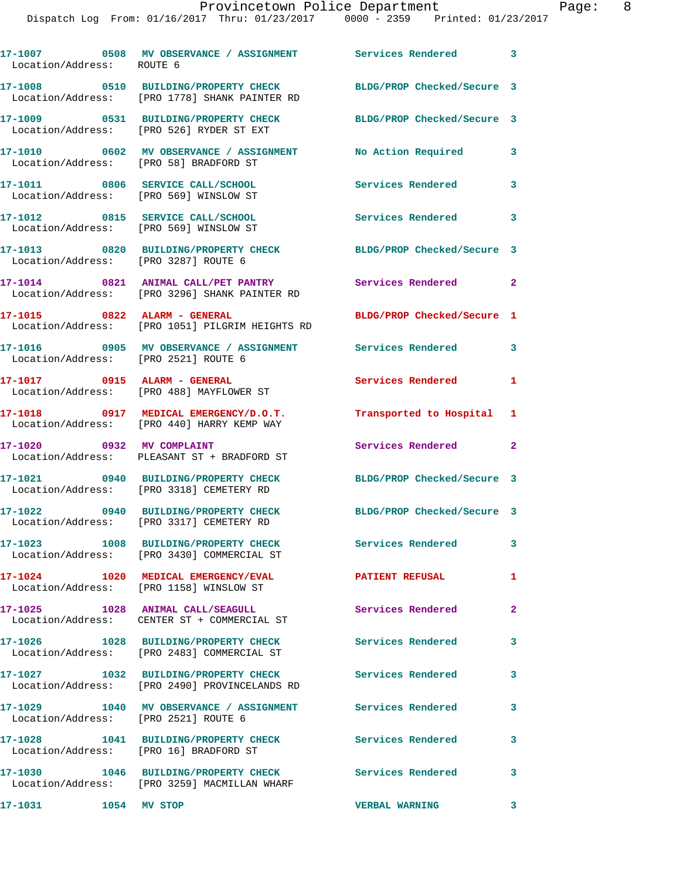| Location/Address: ROUTE 6                                                  |                                                                                       |                            | 3 |
|----------------------------------------------------------------------------|---------------------------------------------------------------------------------------|----------------------------|---|
|                                                                            | 17-1008 0510 BUILDING/PROPERTY CHECK<br>Location/Address: [PRO 1778] SHANK PAINTER RD | BLDG/PROP Checked/Secure 3 |   |
|                                                                            | 17-1009 0531 BUILDING/PROPERTY CHECK<br>Location/Address: [PRO 526] RYDER ST EXT      | BLDG/PROP Checked/Secure 3 |   |
| Location/Address: [PRO 58] BRADFORD ST                                     | 17-1010 0602 MV OBSERVANCE / ASSIGNMENT                                               | No Action Required         | 3 |
| 17-1011 0806 SERVICE CALL/SCHOOL<br>Location/Address: [PRO 569] WINSLOW ST |                                                                                       | <b>Services Rendered</b>   | 3 |
|                                                                            | 17-1012 0815 SERVICE CALL/SCHOOL<br>Location/Address: [PRO 569] WINSLOW ST            | Services Rendered          | 3 |
|                                                                            | 17-1013 0820 BUILDING/PROPERTY CHECK<br>Location/Address: [PRO 3287] ROUTE 6          | BLDG/PROP Checked/Secure 3 |   |
|                                                                            | 17-1014 0821 ANIMAL CALL/PET PANTRY<br>Location/Address: [PRO 3296] SHANK PAINTER RD  | <b>Services Rendered</b>   | 2 |
| 17-1015 0822 ALARM - GENERAL                                               | Location/Address: [PRO 1051] PILGRIM HEIGHTS RD                                       | BLDG/PROP Checked/Secure 1 |   |
| Location/Address: [PRO 2521] ROUTE 6                                       | 17-1016 6905 MV OBSERVANCE / ASSIGNMENT Services Rendered                             |                            | 3 |
| 17-1017 0915 ALARM - GENERAL                                               | Location/Address: [PRO 488] MAYFLOWER ST                                              | Services Rendered          | 1 |
|                                                                            | 17-1018 0917 MEDICAL EMERGENCY/D.O.T.<br>Location/Address: [PRO 440] HARRY KEMP WAY   | Transported to Hospital    | 1 |
| 17-1020 0932 MV COMPLAINT                                                  | Location/Address: PLEASANT ST + BRADFORD ST                                           | Services Rendered          | 2 |
|                                                                            | 17-1021 0940 BUILDING/PROPERTY CHECK<br>Location/Address: [PRO 3318] CEMETERY RD      | BLDG/PROP Checked/Secure 3 |   |
|                                                                            | 17-1022 0940 BUILDING/PROPERTY CHECK<br>Location/Address: [PRO 3317] CEMETERY RD      | BLDG/PROP Checked/Secure 3 |   |
|                                                                            | 17-1023 1008 BUILDING/PROPERTY CHECK<br>Location/Address: [PRO 3430] COMMERCIAL ST    | Services Rendered          | 3 |
|                                                                            | 17-1024 1020 MEDICAL EMERGENCY/EVAL<br>Location/Address: [PRO 1158] WINSLOW ST        | <b>PATIENT REFUSAL</b>     | 1 |
|                                                                            | 17-1025 1028 ANIMAL CALL/SEAGULL<br>Location/Address: CENTER ST + COMMERCIAL ST       | Services Rendered          | 2 |
|                                                                            | 17-1026 1028 BUILDING/PROPERTY CHECK<br>Location/Address: [PRO 2483] COMMERCIAL ST    | Services Rendered          | 3 |
|                                                                            | 17-1027 1032 BUILDING/PROPERTY CHECK<br>Location/Address: [PRO 2490] PROVINCELANDS RD | <b>Services Rendered</b>   | 3 |
| Location/Address: [PRO 2521] ROUTE 6                                       | 17-1029 1040 MV OBSERVANCE / ASSIGNMENT Services Rendered                             |                            | 3 |
| Location/Address: [PRO 16] BRADFORD ST                                     | 17-1028 1041 BUILDING/PROPERTY CHECK                                                  | Services Rendered          | 3 |
|                                                                            | 17-1030 1046 BUILDING/PROPERTY CHECK<br>Location/Address: [PRO 3259] MACMILLAN WHARF  | Services Rendered          | 3 |

**17-1031 1054 MV STOP VERBAL WARNING 3**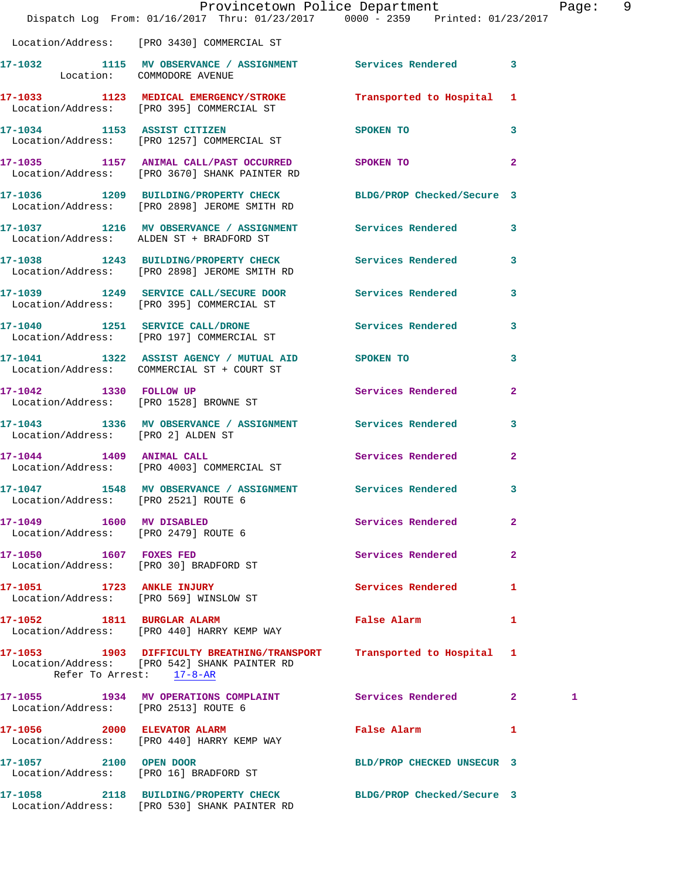|                                                                  | Provincetown Police Department<br>Dispatch Log From: 01/16/2017 Thru: 01/23/2017 0000 - 2359 Printed: 01/23/2017          |                                             |              | Page: 9 |  |
|------------------------------------------------------------------|---------------------------------------------------------------------------------------------------------------------------|---------------------------------------------|--------------|---------|--|
|                                                                  | Location/Address: [PRO 3430] COMMERCIAL ST                                                                                |                                             |              |         |  |
| Location: COMMODORE AVENUE                                       | 17-1032 1115 MV OBSERVANCE / ASSIGNMENT Services Rendered 3                                                               |                                             |              |         |  |
|                                                                  | 17-1033 1123 MEDICAL EMERGENCY/STROKE Transported to Hospital 1<br>Location/Address: [PRO 395] COMMERCIAL ST              |                                             |              |         |  |
|                                                                  | 17-1034 1153 ASSIST CITIZEN<br>Location/Address: [PRO 1257] COMMERCIAL ST                                                 | $\sim$ 3 and $\sim$ 3<br>SPOKEN TO          |              |         |  |
|                                                                  | 17-1035 1157 ANIMAL CALL/PAST OCCURRED SPOKEN TO 2<br>Location/Address: [PRO 3670] SHANK PAINTER RD                       |                                             |              |         |  |
|                                                                  | 17-1036 1209 BUILDING/PROPERTY CHECK BLDG/PROP Checked/Secure 3<br>Location/Address: [PRO 2898] JEROME SMITH RD           |                                             |              |         |  |
|                                                                  | 17-1037 1216 MV OBSERVANCE / ASSIGNMENT Services Rendered 3<br>Location/Address: ALDEN ST + BRADFORD ST                   |                                             |              |         |  |
|                                                                  | 17-1038 1243 BUILDING/PROPERTY CHECK Services Rendered 3<br>Location/Address: [PRO 2898] JEROME SMITH RD                  |                                             |              |         |  |
|                                                                  | 17-1039 1249 SERVICE CALL/SECURE DOOR Services Rendered 3<br>Location/Address: [PRO 395] COMMERCIAL ST                    |                                             |              |         |  |
|                                                                  | 17-1040 1251 SERVICE CALL/DRONE 60 Services Rendered 3<br>Location/Address: [PRO 197] COMMERCIAL ST                       |                                             |              |         |  |
|                                                                  | 17-1041 1322 ASSIST AGENCY / MUTUAL AID SPOKEN TO<br>Location/Address: COMMERCIAL ST + COURT ST                           |                                             | $\mathbf{3}$ |         |  |
|                                                                  | 17-1042 1330 FOLLOW UP<br>Location/Address: [PRO 1528] BROWNE ST                                                          | Services Rendered 2                         |              |         |  |
| Location/Address: [PRO 2] ALDEN ST                               | 17-1043 1336 MV OBSERVANCE / ASSIGNMENT Services Rendered                                                                 |                                             | $\mathbf{3}$ |         |  |
| 17-1044 1409 ANIMAL CALL                                         | Location/Address: [PRO 4003] COMMERCIAL ST                                                                                | Services Rendered 2                         |              |         |  |
| Location/Address: [PRO 2521] ROUTE 6                             | 17-1047 1548 MV OBSERVANCE / ASSIGNMENT Services Rendered                                                                 |                                             | 3            |         |  |
| 17-1049 1600 MV DISABLED<br>Location/Address: [PRO 2479] ROUTE 6 |                                                                                                                           | Services Rendered                           | $\mathbf{2}$ |         |  |
| 17-1050 1607 FOXES FED<br>Location/Address: [PRO 30] BRADFORD ST |                                                                                                                           | Services Rendered 2                         |              |         |  |
|                                                                  | 17-1051 1723 ANKLE INJURY<br>Location/Address: [PRO 569] WINSLOW ST                                                       | Services Rendered 1                         |              |         |  |
|                                                                  | 17-1052 1811 BURGLAR ALARM<br>Location/Address: [PRO 440] HARRY KEMP WAY                                                  | False Alarm <b>Exercise Service Service</b> | $\mathbf{1}$ |         |  |
|                                                                  | 17-1053 1903 DIFFICULTY BREATHING/TRANSPORT<br>Location/Address: [PRO 542] SHANK PAINTER RD<br>Refer To Arrest: $17-8-AR$ | Transported to Hospital 1                   |              |         |  |
| Location/Address: [PRO 2513] ROUTE 6                             | 17-1055 1934 MV OPERATIONS COMPLAINT Services Rendered 2                                                                  |                                             |              | 1       |  |
|                                                                  | 17-1056 2000 ELEVATOR ALARM<br>Location/Address: [PRO 440] HARRY KEMP WAY                                                 | False Alarm 1                               |              |         |  |
|                                                                  | 17-1057 2100 OPEN DOOR<br>Location/Address: [PRO 16] BRADFORD ST                                                          | BLD/PROP CHECKED UNSECUR 3                  |              |         |  |
|                                                                  | 17-1058 2118 BUILDING/PROPERTY CHECK BLDG/PROP Checked/Secure 3                                                           |                                             |              |         |  |

Location/Address: [PRO 530] SHANK PAINTER RD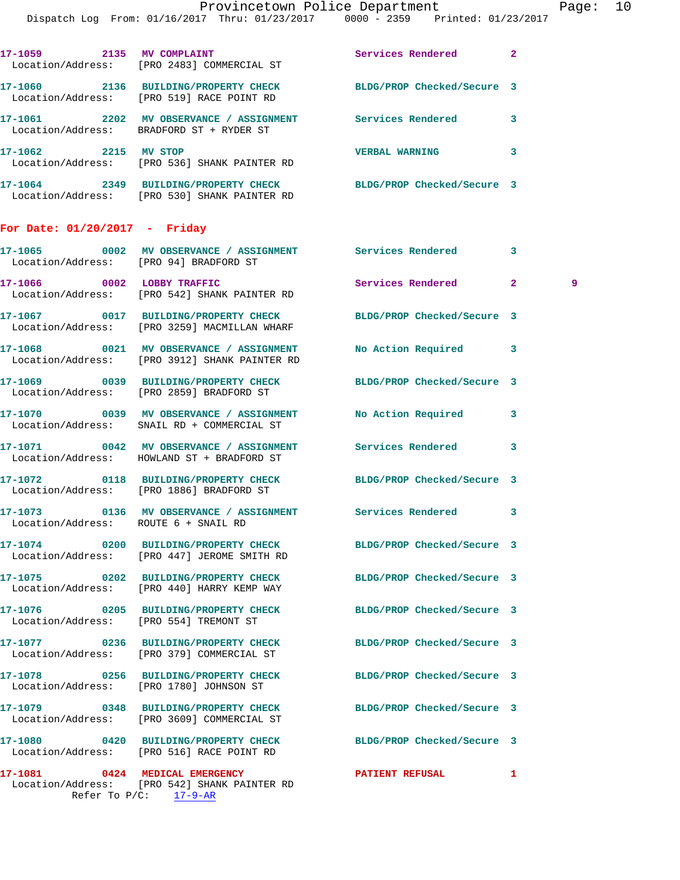| 17-1059<br>2135                      | MV COMPLAINT<br>Location/Address: [PRO 2483] COMMERCIAL ST                  | Services Rendered          |  |
|--------------------------------------|-----------------------------------------------------------------------------|----------------------------|--|
| 17-1060<br>2136                      | <b>BUILDING/PROPERTY CHECK</b><br>Location/Address: [PRO 519] RACE POINT RD | BLDG/PROP Checked/Secure 3 |  |
| 17–1061<br>2202<br>Location/Address: | MV OBSERVANCE / ASSIGNMENT<br>BRADFORD ST + RYDER ST                        | Services Rendered          |  |
| 17-1062<br>2215<br>Location/Address: | MV STOP<br>[PRO 536] SHANK PAINTER RD                                       | <b>VERBAL WARNING</b>      |  |
| 17-1064<br>2349<br>Location/Address: | <b>BUILDING/PROPERTY CHECK</b><br>[PRO 530] SHANK PAINTER RD                | BLDG/PROP Checked/Secure 3 |  |

## **For Date: 01/20/2017 - Friday**

|                                      | 17-1065       0002   MV OBSERVANCE / ASSIGNMENT       Services Rendered<br>Location/Address: [PRO 94] BRADFORD ST |                      | 3              |     |
|--------------------------------------|-------------------------------------------------------------------------------------------------------------------|----------------------|----------------|-----|
|                                      | 17-1066 0002 LOBBY TRAFFIC<br>Location/Address: [PRO 542] SHANK PAINTER RD                                        | Services Rendered    | 2 <sup>1</sup> | - 9 |
|                                      | 17-1067 0017 BUILDING/PROPERTY CHECK BLDG/PROP Checked/Secure 3<br>Location/Address: [PRO 3259] MACMILLAN WHARF   |                      |                |     |
|                                      | 17-1068 0021 MV OBSERVANCE / ASSIGNMENT<br>Location/Address: [PRO 3912] SHANK PAINTER RD                          | No Action Required 3 |                |     |
|                                      | 17-1069 0039 BUILDING/PROPERTY CHECK BLDG/PROP Checked/Secure 3<br>Location/Address: [PRO 2859] BRADFORD ST       |                      |                |     |
|                                      | Location/Address: SNAIL RD + COMMERCIAL ST                                                                        |                      | $\mathbf{3}$   |     |
|                                      | 17-1071 6042 MV OBSERVANCE / ASSIGNMENT Services Rendered<br>Location/Address: HOWLAND ST + BRADFORD ST           |                      | 3              |     |
|                                      | 17-1072 0118 BUILDING/PROPERTY CHECK BLDG/PROP Checked/Secure 3<br>Location/Address: [PRO 1886] BRADFORD ST       |                      |                |     |
| Location/Address: ROUTE 6 + SNAIL RD | 17-1073 0136 MV OBSERVANCE / ASSIGNMENT Services Rendered 3                                                       |                      |                |     |
|                                      | 17-1074 0200 BUILDING/PROPERTY CHECK BLDG/PROP Checked/Secure 3<br>Location/Address: [PRO 447] JEROME SMITH RD    |                      |                |     |
|                                      | 17-1075 0202 BUILDING/PROPERTY CHECK BLDG/PROP Checked/Secure 3<br>Location/Address: [PRO 440] HARRY KEMP WAY     |                      |                |     |
|                                      | 17-1076 0205 BUILDING/PROPERTY CHECK BLDG/PROP Checked/Secure 3<br>Location/Address: [PRO 554] TREMONT ST         |                      |                |     |
|                                      | 17-1077 0236 BUILDING/PROPERTY CHECK BLDG/PROP Checked/Secure 3<br>Location/Address: [PRO 379] COMMERCIAL ST      |                      |                |     |
|                                      | 17-1078 0256 BUILDING/PROPERTY CHECK BLDG/PROP Checked/Secure 3<br>Location/Address: [PRO 1780] JOHNSON ST        |                      |                |     |
|                                      | 17-1079 0348 BUILDING/PROPERTY CHECK BLDG/PROP Checked/Secure 3<br>Location/Address: [PRO 3609] COMMERCIAL ST     |                      |                |     |
|                                      | 17-1080 0420 BUILDING/PROPERTY CHECK BLDG/PROP Checked/Secure 3<br>Location/Address: [PRO 516] RACE POINT RD      |                      |                |     |
| Refer To P/C: 17-9-AR                | 17-1081 0424 MEDICAL EMERGENCY<br>Location/Address: [PRO 542] SHANK PAINTER RD                                    | PATIENT REFUSAL      | 1              |     |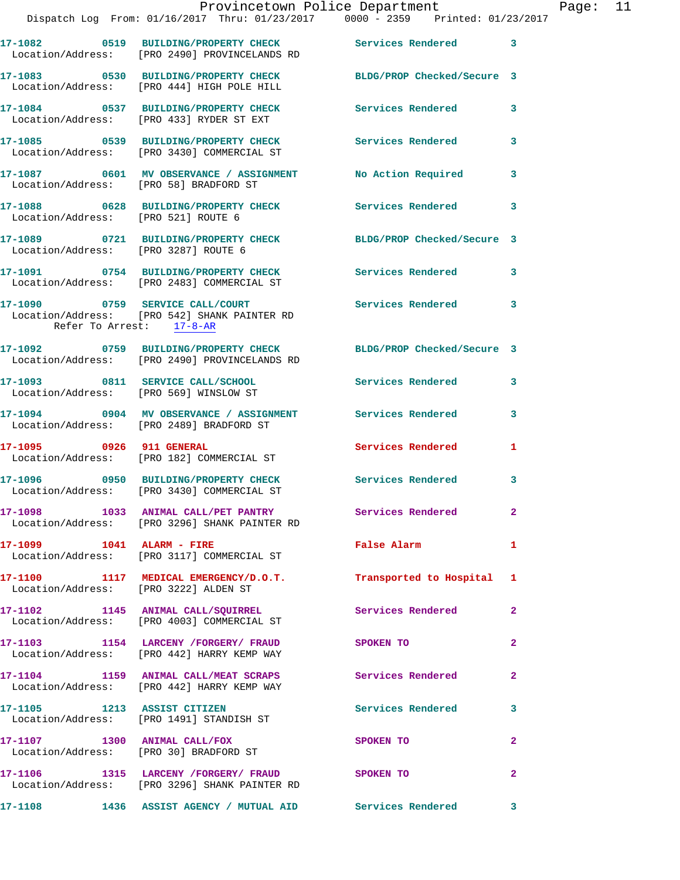|                                       | Provincetown Police Department<br>Dispatch Log From: 01/16/2017 Thru: 01/23/2017 0000 - 2359 Printed: 01/23/2017 |                            |                |
|---------------------------------------|------------------------------------------------------------------------------------------------------------------|----------------------------|----------------|
|                                       |                                                                                                                  |                            |                |
|                                       | 17-1082 0519 BUILDING/PROPERTY CHECK Services Rendered<br>Location/Address: [PRO 2490] PROVINCELANDS RD          |                            | 3              |
|                                       | 17-1083 0530 BUILDING/PROPERTY CHECK BLDG/PROP Checked/Secure 3<br>Location/Address: [PRO 444] HIGH POLE HILL    |                            |                |
|                                       | 17-1084 0537 BUILDING/PROPERTY CHECK<br>Location/Address: [PRO 433] RYDER ST EXT                                 | <b>Services Rendered</b>   | 3              |
|                                       | 17-1085 0539 BUILDING/PROPERTY CHECK<br>Location/Address: [PRO 3430] COMMERCIAL ST                               | <b>Services Rendered</b>   | 3              |
|                                       | 17-1087 0601 MV OBSERVANCE / ASSIGNMENT<br>Location/Address: [PRO 58] BRADFORD ST                                | No Action Required         | 3              |
| Location/Address: [PRO 521] ROUTE 6   | 17-1088 0628 BUILDING/PROPERTY CHECK                                                                             | <b>Services Rendered</b>   | 3              |
| Location/Address: [PRO 3287] ROUTE 6  | 17-1089 0721 BUILDING/PROPERTY CHECK                                                                             | BLDG/PROP Checked/Secure 3 |                |
|                                       | 17-1091 0754 BUILDING/PROPERTY CHECK<br>Location/Address: [PRO 2483] COMMERCIAL ST                               | <b>Services Rendered</b>   | 3              |
| Refer To Arrest: 17-8-AR              | 17-1090 0759 SERVICE CALL/COURT<br>Location/Address: [PRO 542] SHANK PAINTER RD                                  | Services Rendered          | 3              |
|                                       | 17-1092 0759 BUILDING/PROPERTY CHECK BLDG/PROP Checked/Secure 3<br>Location/Address: [PRO 2490] PROVINCELANDS RD |                            |                |
|                                       | 17-1093 0811 SERVICE CALL/SCHOOL<br>Location/Address: [PRO 569] WINSLOW ST                                       | <b>Services Rendered</b>   | 3              |
|                                       | 17-1094  0904 MV OBSERVANCE / ASSIGNMENT Services Rendered<br>Location/Address: [PRO 2489] BRADFORD ST           |                            | 3              |
| 17-1095 0926 911 GENERAL              | Location/Address: [PRO 182] COMMERCIAL ST                                                                        | Services Rendered          | 1              |
|                                       | 17-1096 0950 BUILDING/PROPERTY CHECK<br>Location/Address: [PRO 3430] COMMERCIAL ST                               | Services Rendered          | 3              |
|                                       | 17-1098 1033 ANIMAL CALL/PET PANTRY Services Rendered<br>Location/Address: [PRO 3296] SHANK PAINTER RD           |                            | $\mathbf{2}$   |
|                                       | 17-1099 1041 ALARM - FIRE<br>Location/Address: [PRO 3117] COMMERCIAL ST                                          | False Alarm                | 1              |
| Location/Address: [PRO 3222] ALDEN ST | 17-1100 1117 MEDICAL EMERGENCY/D.O.T. Transported to Hospital                                                    |                            | 1              |
|                                       | 17-1102 1145 ANIMAL CALL/SQUIRREL 200 Services Rendered<br>Location/Address: [PRO 4003] COMMERCIAL ST            |                            | $\mathbf{2}$   |
|                                       | 17-1103 1154 LARCENY / FORGERY / FRAUD SPOKEN TO<br>Location/Address: [PRO 442] HARRY KEMP WAY                   |                            | $\mathbf{2}$   |
|                                       | 17-1104 1159 ANIMAL CALL/MEAT SCRAPS Services Rendered<br>Location/Address: [PRO 442] HARRY KEMP WAY             |                            | $\mathbf{2}$   |
| 17-1105 1213 ASSIST CITIZEN           | Location/Address: [PRO 1491] STANDISH ST                                                                         | <b>Services Rendered</b>   | 3              |
|                                       | 17-1107 1300 ANIMAL CALL/FOX<br>Location/Address: [PRO 30] BRADFORD ST                                           | <b>SPOKEN TO</b>           | $\overline{a}$ |
|                                       | 17-1106 1315 LARCENY /FORGERY / FRAUD SPOKEN TO<br>Location/Address: [PRO 3296] SHANK PAINTER RD                 |                            | 2              |
|                                       | 17-1108 1436 ASSIST AGENCY / MUTUAL AID Services Rendered                                                        |                            | 3              |

Page:  $11$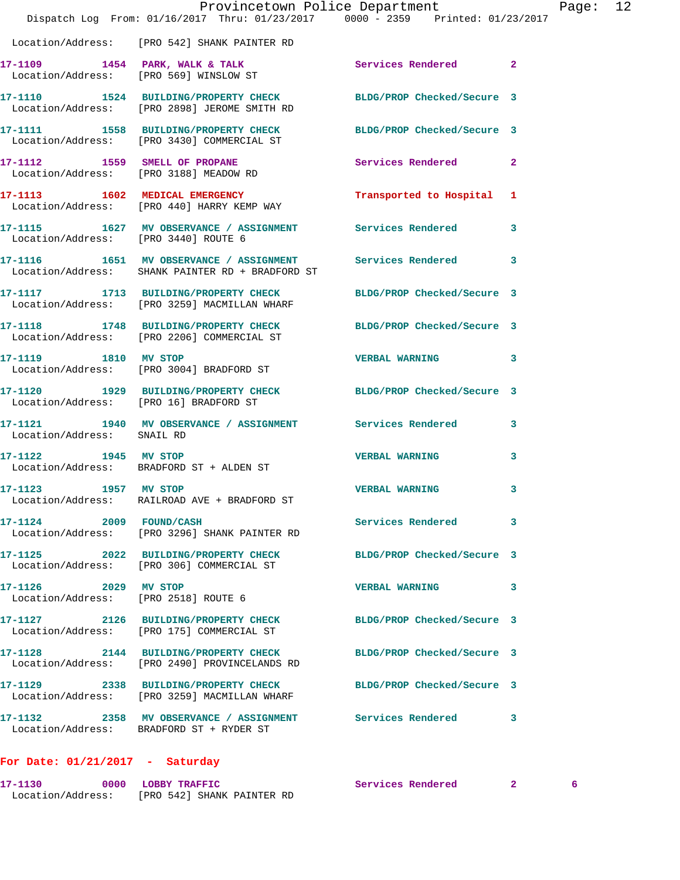|                                                              | Dispatch Log From: $01/16/2017$ Thru: $01/23/2017$ 0000 - 2359 Printed: $01/23/2017$                            | Provincetown Police Department | Page: 12       |
|--------------------------------------------------------------|-----------------------------------------------------------------------------------------------------------------|--------------------------------|----------------|
|                                                              | Location/Address: [PRO 542] SHANK PAINTER RD                                                                    |                                |                |
|                                                              | 17-1109 1454 PARK, WALK & TALK Services Rendered<br>Location/Address: [PRO 569] WINSLOW ST                      |                                | $\overline{2}$ |
|                                                              | 17-1110 1524 BUILDING/PROPERTY CHECK BLDG/PROP Checked/Secure 3<br>Location/Address: [PRO 2898] JEROME SMITH RD |                                |                |
|                                                              | 17-1111 1558 BUILDING/PROPERTY CHECK BLDG/PROP Checked/Secure 3<br>Location/Address: [PRO 3430] COMMERCIAL ST   |                                |                |
|                                                              | 17-1112 1559 SMELL OF PROPANE<br>Location/Address: [PRO 3188] MEADOW RD                                         | Services Rendered 2            |                |
|                                                              | 17-1113 1602 MEDICAL EMERGENCY<br>Location/Address: [PRO 440] HARRY KEMP WAY                                    | Transported to Hospital 1      |                |
| Location/Address: [PRO 3440] ROUTE 6                         | 17-1115 1627 MV OBSERVANCE / ASSIGNMENT Services Rendered 3                                                     |                                |                |
|                                                              | 17-1116 1651 MV OBSERVANCE / ASSIGNMENT Services Rendered<br>Location/Address: SHANK PAINTER RD + BRADFORD ST   |                                | 3              |
|                                                              | 17-1117 1713 BUILDING/PROPERTY CHECK BLDG/PROP Checked/Secure 3<br>Location/Address: [PRO 3259] MACMILLAN WHARF |                                |                |
|                                                              | 17-1118 1748 BUILDING/PROPERTY CHECK BLDG/PROP Checked/Secure 3<br>Location/Address: [PRO 2206] COMMERCIAL ST   |                                |                |
| 17-1119 1810 MV STOP                                         | Location/Address: [PRO 3004] BRADFORD ST                                                                        | <b>VERBAL WARNING</b>          | 3              |
|                                                              | 17-1120 1929 BUILDING/PROPERTY CHECK BLDG/PROP Checked/Secure 3<br>Location/Address: [PRO 16] BRADFORD ST       |                                |                |
| Location/Address: SNAIL RD                                   | 17-1121 1940 MV OBSERVANCE / ASSIGNMENT Services Rendered                                                       |                                | 3              |
| 17-1122 1945 MV STOP                                         | Location/Address: BRADFORD ST + ALDEN ST                                                                        | <b>VERBAL WARNING</b>          | 3              |
| 17-1123 1957 MV STOP                                         | Location/Address: RAILROAD AVE + BRADFORD ST                                                                    | <b>VERBAL WARNING</b>          | 3              |
| 17-1124 2009 FOUND/CASH                                      | Location/Address: [PRO 3296] SHANK PAINTER RD                                                                   | Services Rendered              | 3              |
|                                                              | 17-1125 2022 BUILDING/PROPERTY CHECK BLDG/PROP Checked/Secure 3<br>Location/Address: [PRO 306] COMMERCIAL ST    |                                |                |
| 17-1126 2029 MV STOP<br>Location/Address: [PRO 2518] ROUTE 6 |                                                                                                                 | <b>VERBAL WARNING</b>          | 3              |
|                                                              | 17-1127 2126 BUILDING/PROPERTY CHECK BLDG/PROP Checked/Secure 3<br>Location/Address: [PRO 175] COMMERCIAL ST    |                                |                |
|                                                              | 17-1128 2144 BUILDING/PROPERTY CHECK<br>Location/Address: [PRO 2490] PROVINCELANDS RD                           | BLDG/PROP Checked/Secure 3     |                |
|                                                              | 17-1129 2338 BUILDING/PROPERTY CHECK BLDG/PROP Checked/Secure 3<br>Location/Address: [PRO 3259] MACMILLAN WHARF |                                |                |
|                                                              | 17-1132 2358 MV OBSERVANCE / ASSIGNMENT Services Rendered<br>Location/Address: BRADFORD ST + RYDER ST           |                                | 3              |
|                                                              |                                                                                                                 |                                |                |

## **For Date: 01/21/2017 - Saturday**

| 17-1130           | 0000 LOBBY TRAFFIC         |  |  | Services Rendered |  |
|-------------------|----------------------------|--|--|-------------------|--|
| Location/Address: | [PRO 542] SHANK PAINTER RD |  |  |                   |  |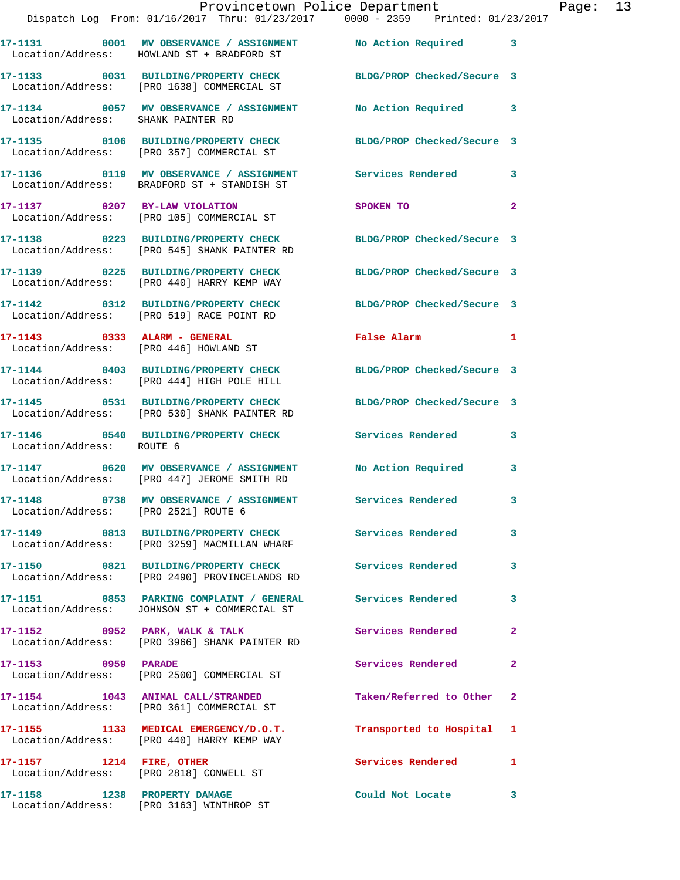|                                      | Provincetown Police Department                                                                                          |                            |                |
|--------------------------------------|-------------------------------------------------------------------------------------------------------------------------|----------------------------|----------------|
|                                      | Dispatch Log From: 01/16/2017 Thru: 01/23/2017 0000 - 2359 Printed: 01/23/2017                                          |                            |                |
|                                      | 17-1131 0001 MV OBSERVANCE / ASSIGNMENT No Action Required<br>Location/Address: HOWLAND ST + BRADFORD ST                |                            | 3              |
|                                      | 17-1133 0031 BUILDING/PROPERTY CHECK BLDG/PROP Checked/Secure 3<br>Location/Address: [PRO 1638] COMMERCIAL ST           |                            |                |
| Location/Address: SHANK PAINTER RD   | 17-1134 0057 MV OBSERVANCE / ASSIGNMENT                                                                                 | <b>No Action Required</b>  | 3              |
|                                      | 17-1135 0106 BUILDING/PROPERTY CHECK BLDG/PROP Checked/Secure 3<br>Location/Address: [PRO 357] COMMERCIAL ST            |                            |                |
|                                      | 17-1136      0119   MV OBSERVANCE / ASSIGNMENT       Services Rendered<br>Location/Address:   BRADFORD ST + STANDISH ST |                            | 3              |
|                                      | 17-1137 0207 BY-LAW VIOLATION<br>Location/Address: [PRO 105] COMMERCIAL ST                                              | SPOKEN TO                  | 2              |
|                                      | 17-1138 0223 BUILDING/PROPERTY CHECK<br>Location/Address: [PRO 545] SHANK PAINTER RD                                    | BLDG/PROP Checked/Secure 3 |                |
|                                      | 17-1139 0225 BUILDING/PROPERTY CHECK<br>Location/Address: [PRO 440] HARRY KEMP WAY                                      | BLDG/PROP Checked/Secure 3 |                |
|                                      | 17-1142 0312 BUILDING/PROPERTY CHECK<br>Location/Address: [PRO 519] RACE POINT RD                                       | BLDG/PROP Checked/Secure 3 |                |
|                                      | 17-1143 0333 ALARM - GENERAL<br>Location/Address: [PRO 446] HOWLAND ST                                                  | False Alarm                | 1              |
|                                      | 17-1144 0403 BUILDING/PROPERTY CHECK BLDG/PROP Checked/Secure 3<br>Location/Address: [PRO 444] HIGH POLE HILL           |                            |                |
|                                      | 17-1145 0531 BUILDING/PROPERTY CHECK<br>Location/Address: [PRO 530] SHANK PAINTER RD                                    | BLDG/PROP Checked/Secure 3 |                |
| Location/Address: ROUTE 6            | 17-1146 0540 BUILDING/PROPERTY CHECK Services Rendered                                                                  |                            | 3              |
|                                      | 17-1147 0620 MV OBSERVANCE / ASSIGNMENT<br>Location/Address: [PRO 447] JEROME SMITH RD                                  | No Action Required         | 3              |
| Location/Address: [PRO 2521] ROUTE 6 | 17-1148 0738 MV OBSERVANCE / ASSIGNMENT Services Rendered                                                               |                            | 3              |
|                                      | 17-1149 0813 BUILDING/PROPERTY CHECK Services Rendered<br>Location/Address: [PRO 3259] MACMILLAN WHARF                  |                            | 3              |
|                                      | 17-1150 0821 BUILDING/PROPERTY CHECK<br>Location/Address: [PRO 2490] PROVINCELANDS RD                                   | <b>Services Rendered</b>   | 3              |
|                                      | 17-1151 0853 PARKING COMPLAINT / GENERAL Services Rendered<br>Location/Address: JOHNSON ST + COMMERCIAL ST              |                            | 3              |
|                                      | 17-1152 0952 PARK, WALK & TALK<br>Location/Address: [PRO 3966] SHANK PAINTER RD                                         | <b>Services Rendered</b>   | $\overline{2}$ |
| 17-1153 0959 PARADE                  | Location/Address: [PRO 2500] COMMERCIAL ST                                                                              | <b>Services Rendered</b>   | $\mathbf{2}$   |
|                                      | 17-1154 1043 ANIMAL CALL/STRANDED<br>Location/Address: [PRO 361] COMMERCIAL ST                                          | Taken/Referred to Other    | $\overline{2}$ |
|                                      | 17-1155 1133 MEDICAL EMERGENCY/D.O.T.<br>Location/Address: [PRO 440] HARRY KEMP WAY                                     | Transported to Hospital    | 1              |
| 17-1157 1214 FIRE, OTHER             | Location/Address: [PRO 2818] CONWELL ST                                                                                 | <b>Services Rendered</b>   | 1              |
|                                      |                                                                                                                         | Could Not Locate           | 3              |

Location/Address: [PRO 3163] WINTHROP ST

Page: 13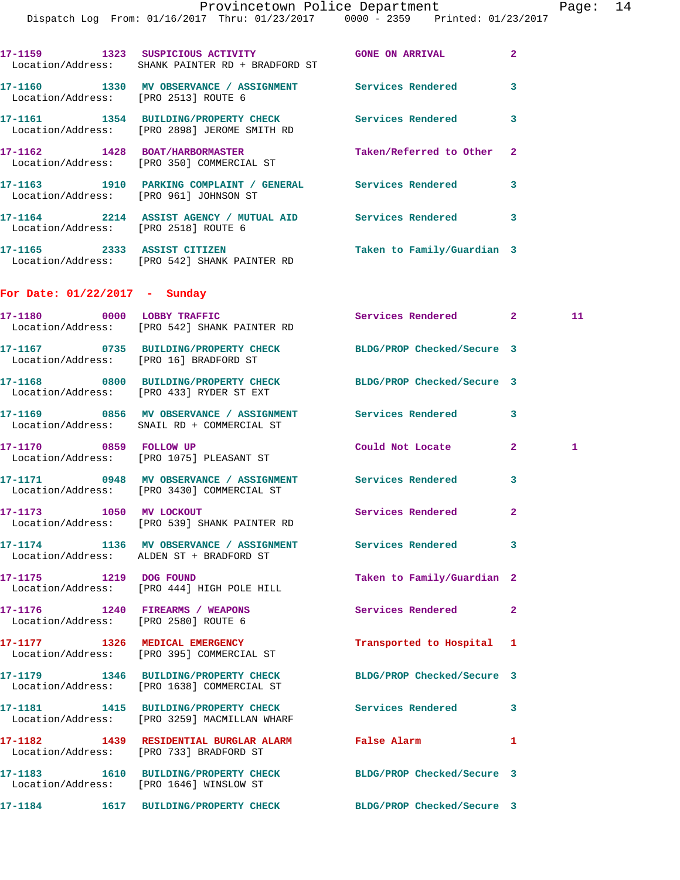Page: 14

|                                                                         | Provincetown Police Department<br>Dispatch Log From: 01/16/2017 Thru: 01/23/2017 0000 - 2359 Printed: 01/23/2017 |                            |              | Page         |
|-------------------------------------------------------------------------|------------------------------------------------------------------------------------------------------------------|----------------------------|--------------|--------------|
|                                                                         | 17-1159 1323 SUSPICIOUS ACTIVITY THE GONE ON ARRIVAL<br>Location/Address: SHANK PAINTER RD + BRADFORD ST         |                            | $\mathbf{2}$ |              |
| Location/Address: [PRO 2513] ROUTE 6                                    | 17-1160 1330 MV OBSERVANCE / ASSIGNMENT Services Rendered 3                                                      |                            |              |              |
|                                                                         | 17-1161 1354 BUILDING/PROPERTY CHECK Services Rendered<br>Location/Address: [PRO 2898] JEROME SMITH RD           |                            | 3            |              |
|                                                                         | 17-1162 1428 BOAT/HARBORMASTER<br>Location/Address: [PRO 350] COMMERCIAL ST                                      | Taken/Referred to Other 2  |              |              |
|                                                                         | 17-1163 1910 PARKING COMPLAINT / GENERAL Services Rendered<br>Location/Address: [PRO 961] JOHNSON ST             |                            | $\mathbf{3}$ |              |
| Location/Address: [PRO 2518] ROUTE 6                                    | 17-1164 2214 ASSIST AGENCY / MUTUAL AID Services Rendered 3                                                      |                            |              |              |
|                                                                         | 17-1165 2333 ASSIST CITIZEN<br>Location/Address: [PRO 542] SHANK PAINTER RD                                      | Taken to Family/Guardian 3 |              |              |
| For Date: $01/22/2017$ - Sunday                                         |                                                                                                                  |                            |              |              |
|                                                                         | 17-1180 0000 LOBBY TRAFFIC<br>Location/Address: [PRO 542] SHANK PAINTER RD                                       | Services Rendered 2        |              | 11           |
|                                                                         | 17-1167 		 0735 BUILDING/PROPERTY CHECK 		 BLDG/PROP Checked/Secure 3<br>Location/Address: [PRO 16] BRADFORD ST  |                            |              |              |
|                                                                         | 17-1168 0800 BUILDING/PROPERTY CHECK BLDG/PROP Checked/Secure 3<br>Location/Address: [PRO 433] RYDER ST EXT      |                            |              |              |
|                                                                         | 17-1169 6856 MV OBSERVANCE / ASSIGNMENT Services Rendered<br>Location/Address: SNAIL RD + COMMERCIAL ST          |                            | 3            |              |
| 17-1170 0859 FOLLOW UP                                                  | Location/Address: [PRO 1075] PLEASANT ST                                                                         | Could Not Locate 2         |              | $\mathbf{1}$ |
|                                                                         | 17-1171 0948 MV OBSERVANCE / ASSIGNMENT Services Rendered<br>Location/Address: [PRO 3430] COMMERCIAL ST          |                            | 3            |              |
| 17-1173 1050 MV LOCKOUT                                                 | Location/Address: [PRO 539] SHANK PAINTER RD                                                                     | Services Rendered          | 2            |              |
|                                                                         | 17-1174 1136 MV OBSERVANCE / ASSIGNMENT Services Rendered<br>Location/Address: ALDEN ST + BRADFORD ST            |                            | 3            |              |
| 17-1175 1219 DOG FOUND                                                  | Location/Address: [PRO 444] HIGH POLE HILL                                                                       | Taken to Family/Guardian 2 |              |              |
| 17-1176 1240 FIREARMS / WEAPONS<br>Location/Address: [PRO 2580] ROUTE 6 |                                                                                                                  | Services Rendered          | $\mathbf{2}$ |              |
| 17-1177 1326 MEDICAL EMERGENCY                                          | Location/Address: [PRO 395] COMMERCIAL ST                                                                        | Transported to Hospital 1  |              |              |
|                                                                         | 17-1179 1346 BUILDING/PROPERTY CHECK<br>Location/Address: [PRO 1638] COMMERCIAL ST                               | BLDG/PROP Checked/Secure 3 |              |              |
| 17–1181                                                                 | 1415 BUILDING/PROPERTY CHECK                                                                                     | Services Rendered 3        |              |              |

**17-1182 1439 RESIDENTIAL BURGLAR ALARM False Alarm 1**  Location/Address: [PRO 733] BRADFORD ST

Location/Address: [PRO 3259] MACMILLAN WHARF

**17-1183 1610 BUILDING/PROPERTY CHECK BLDG/PROP Checked/Secure 3**  Location/Address: [PRO 1646] WINSLOW ST

**17-1184 1617 BUILDING/PROPERTY CHECK BLDG/PROP Checked/Secure 3**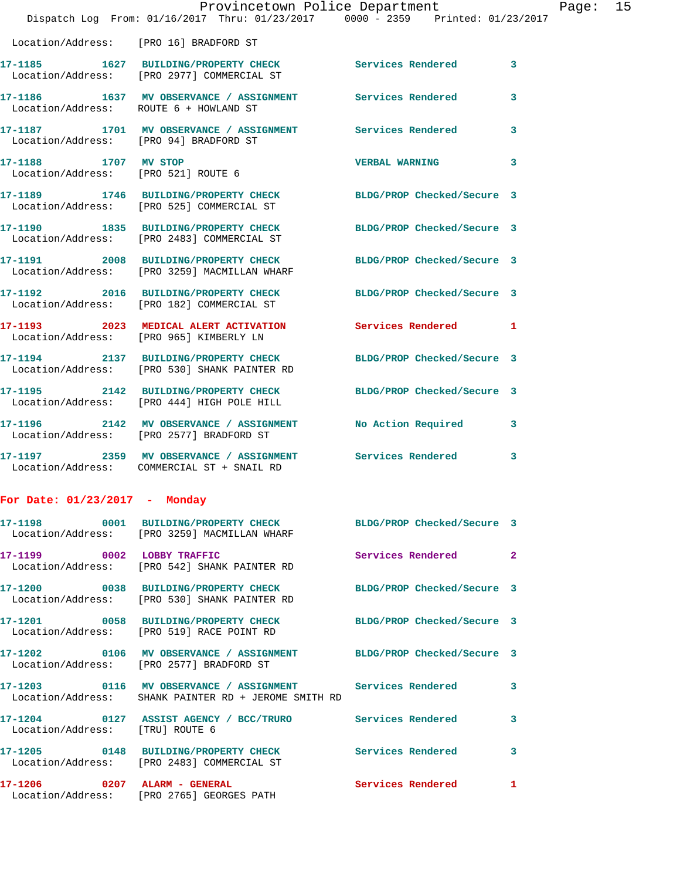|                                                                                                                                                                                                                                                                                                                                                                                                                                                                                                                                                                                                                                                                                                                                                                                                                                                                                                                                                                                                                                                                                                  | 3                                                                                                                                                                                                                                                                                                                                                                                                                                                                                                                                                                                                                                                                                                                                                                                                                                                        |
|--------------------------------------------------------------------------------------------------------------------------------------------------------------------------------------------------------------------------------------------------------------------------------------------------------------------------------------------------------------------------------------------------------------------------------------------------------------------------------------------------------------------------------------------------------------------------------------------------------------------------------------------------------------------------------------------------------------------------------------------------------------------------------------------------------------------------------------------------------------------------------------------------------------------------------------------------------------------------------------------------------------------------------------------------------------------------------------------------|----------------------------------------------------------------------------------------------------------------------------------------------------------------------------------------------------------------------------------------------------------------------------------------------------------------------------------------------------------------------------------------------------------------------------------------------------------------------------------------------------------------------------------------------------------------------------------------------------------------------------------------------------------------------------------------------------------------------------------------------------------------------------------------------------------------------------------------------------------|
|                                                                                                                                                                                                                                                                                                                                                                                                                                                                                                                                                                                                                                                                                                                                                                                                                                                                                                                                                                                                                                                                                                  | 3                                                                                                                                                                                                                                                                                                                                                                                                                                                                                                                                                                                                                                                                                                                                                                                                                                                        |
|                                                                                                                                                                                                                                                                                                                                                                                                                                                                                                                                                                                                                                                                                                                                                                                                                                                                                                                                                                                                                                                                                                  | 3                                                                                                                                                                                                                                                                                                                                                                                                                                                                                                                                                                                                                                                                                                                                                                                                                                                        |
| <b>VERBAL WARNING</b>                                                                                                                                                                                                                                                                                                                                                                                                                                                                                                                                                                                                                                                                                                                                                                                                                                                                                                                                                                                                                                                                            | 3                                                                                                                                                                                                                                                                                                                                                                                                                                                                                                                                                                                                                                                                                                                                                                                                                                                        |
|                                                                                                                                                                                                                                                                                                                                                                                                                                                                                                                                                                                                                                                                                                                                                                                                                                                                                                                                                                                                                                                                                                  |                                                                                                                                                                                                                                                                                                                                                                                                                                                                                                                                                                                                                                                                                                                                                                                                                                                          |
|                                                                                                                                                                                                                                                                                                                                                                                                                                                                                                                                                                                                                                                                                                                                                                                                                                                                                                                                                                                                                                                                                                  |                                                                                                                                                                                                                                                                                                                                                                                                                                                                                                                                                                                                                                                                                                                                                                                                                                                          |
|                                                                                                                                                                                                                                                                                                                                                                                                                                                                                                                                                                                                                                                                                                                                                                                                                                                                                                                                                                                                                                                                                                  |                                                                                                                                                                                                                                                                                                                                                                                                                                                                                                                                                                                                                                                                                                                                                                                                                                                          |
|                                                                                                                                                                                                                                                                                                                                                                                                                                                                                                                                                                                                                                                                                                                                                                                                                                                                                                                                                                                                                                                                                                  |                                                                                                                                                                                                                                                                                                                                                                                                                                                                                                                                                                                                                                                                                                                                                                                                                                                          |
| <b>Services Rendered</b>                                                                                                                                                                                                                                                                                                                                                                                                                                                                                                                                                                                                                                                                                                                                                                                                                                                                                                                                                                                                                                                                         | 1                                                                                                                                                                                                                                                                                                                                                                                                                                                                                                                                                                                                                                                                                                                                                                                                                                                        |
|                                                                                                                                                                                                                                                                                                                                                                                                                                                                                                                                                                                                                                                                                                                                                                                                                                                                                                                                                                                                                                                                                                  |                                                                                                                                                                                                                                                                                                                                                                                                                                                                                                                                                                                                                                                                                                                                                                                                                                                          |
|                                                                                                                                                                                                                                                                                                                                                                                                                                                                                                                                                                                                                                                                                                                                                                                                                                                                                                                                                                                                                                                                                                  |                                                                                                                                                                                                                                                                                                                                                                                                                                                                                                                                                                                                                                                                                                                                                                                                                                                          |
| No Action Required                                                                                                                                                                                                                                                                                                                                                                                                                                                                                                                                                                                                                                                                                                                                                                                                                                                                                                                                                                                                                                                                               | 3                                                                                                                                                                                                                                                                                                                                                                                                                                                                                                                                                                                                                                                                                                                                                                                                                                                        |
|                                                                                                                                                                                                                                                                                                                                                                                                                                                                                                                                                                                                                                                                                                                                                                                                                                                                                                                                                                                                                                                                                                  | 3                                                                                                                                                                                                                                                                                                                                                                                                                                                                                                                                                                                                                                                                                                                                                                                                                                                        |
|                                                                                                                                                                                                                                                                                                                                                                                                                                                                                                                                                                                                                                                                                                                                                                                                                                                                                                                                                                                                                                                                                                  |                                                                                                                                                                                                                                                                                                                                                                                                                                                                                                                                                                                                                                                                                                                                                                                                                                                          |
|                                                                                                                                                                                                                                                                                                                                                                                                                                                                                                                                                                                                                                                                                                                                                                                                                                                                                                                                                                                                                                                                                                  |                                                                                                                                                                                                                                                                                                                                                                                                                                                                                                                                                                                                                                                                                                                                                                                                                                                          |
| Services Rendered                                                                                                                                                                                                                                                                                                                                                                                                                                                                                                                                                                                                                                                                                                                                                                                                                                                                                                                                                                                                                                                                                | 2                                                                                                                                                                                                                                                                                                                                                                                                                                                                                                                                                                                                                                                                                                                                                                                                                                                        |
|                                                                                                                                                                                                                                                                                                                                                                                                                                                                                                                                                                                                                                                                                                                                                                                                                                                                                                                                                                                                                                                                                                  |                                                                                                                                                                                                                                                                                                                                                                                                                                                                                                                                                                                                                                                                                                                                                                                                                                                          |
|                                                                                                                                                                                                                                                                                                                                                                                                                                                                                                                                                                                                                                                                                                                                                                                                                                                                                                                                                                                                                                                                                                  |                                                                                                                                                                                                                                                                                                                                                                                                                                                                                                                                                                                                                                                                                                                                                                                                                                                          |
| Location/Address: [PRO 16] BRADFORD ST<br>Location/Address: [PRO 2977] COMMERCIAL ST<br>Location/Address: ROUTE 6 + HOWLAND ST<br>Location/Address: [PRO 94] BRADFORD ST<br>17-1188 1707 MV STOP<br>Location/Address: [PRO 521] ROUTE 6<br>Location/Address: [PRO 525] COMMERCIAL ST<br>17-1190 1835 BUILDING/PROPERTY CHECK<br>Location/Address: [PRO 2483] COMMERCIAL ST<br>Location/Address: [PRO 3259] MACMILLAN WHARF<br>17-1192 2016 BUILDING/PROPERTY CHECK<br>Location/Address: [PRO 182] COMMERCIAL ST<br>Location/Address: [PRO 965] KIMBERLY LN<br>17-1194 2137 BUILDING/PROPERTY CHECK<br>Location/Address: [PRO 530] SHANK PAINTER RD<br>Location/Address: [PRO 444] HIGH POLE HILL<br>Location/Address: [PRO 2577] BRADFORD ST<br>Location/Address: COMMERCIAL ST + SNAIL RD<br>For Date: $01/23/2017$ - Monday<br>Location/Address: [PRO 3259] MACMILLAN WHARF<br>17-1199 0002 LOBBY TRAFFIC<br>Location/Address: [PRO 542] SHANK PAINTER RD<br>17-1200 0038 BUILDING/PROPERTY CHECK<br>Location/Address: [PRO 530] SHANK PAINTER RD<br>Location/Address: [PRO 519] RACE POINT RD | Provincetown Police Department<br>Dispatch Log From: 01/16/2017 Thru: 01/23/2017 0000 - 2359 Printed: 01/23/2017<br>17-1185 1627 BUILDING/PROPERTY CHECK Services Rendered<br>17-1186 1637 MV OBSERVANCE / ASSIGNMENT Services Rendered<br>17-1187 1701 MV OBSERVANCE / ASSIGNMENT Services Rendered<br>17-1189 1746 BUILDING/PROPERTY CHECK BLDG/PROP Checked/Secure 3<br>BLDG/PROP Checked/Secure 3<br>17-1191 2008 BUILDING/PROPERTY CHECK<br>BLDG/PROP Checked/Secure 3<br>BLDG/PROP Checked/Secure 3<br>17-1193 2023 MEDICAL ALERT ACTIVATION<br>BLDG/PROP Checked/Secure 3<br>17-1195 2142 BUILDING/PROPERTY CHECK<br>BLDG/PROP Checked/Secure 3<br>17-1196 2142 MV OBSERVANCE / ASSIGNMENT<br>17-1197 2359 MV OBSERVANCE / ASSIGNMENT Services Rendered<br>BLDG/PROP Checked/Secure 3<br>BLDG/PROP Checked/Secure 3<br>BLDG/PROP Checked/Secure 3 |

Page: 15

**17-1202 0106 MV OBSERVANCE / ASSIGNMENT BLDG/PROP Checked/Secure 3**  Location/Address: [PRO 2577] BRADFORD ST

**17-1203 0116 MV OBSERVANCE / ASSIGNMENT Services Rendered 3**  Location/Address: SHANK PAINTER RD + JEROME SMITH RD **17-1204 0127 ASSIST AGENCY / BCC/TRURO Services Rendered 3**  Location/Address: [TRU] ROUTE 6 **17-1205 0148 BUILDING/PROPERTY CHECK Services Rendered 3**  Location/Address: [PRO 2483] COMMERCIAL ST

**17-1206 0207 ALARM - GENERAL Services Rendered 1**  Location/Address: [PRO 2765] GEORGES PATH